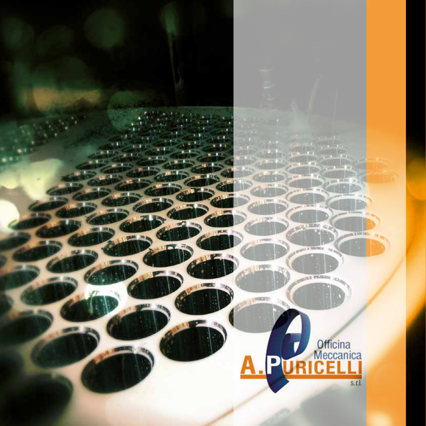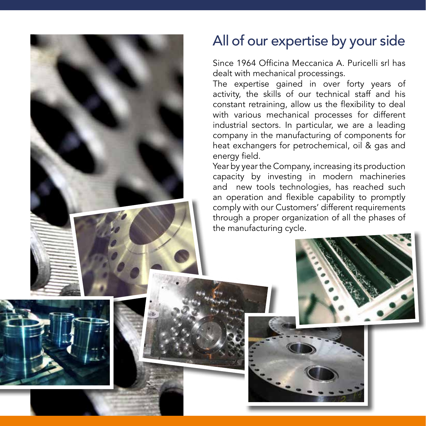

# All of our expertise by your side

Since 1964 Officina Meccanica A. Puricelli srl has dealt with mechanical processings.

The expertise gained in over forty years of activity, the skills of our technical staff and his constant retraining, allow us the flexibility to deal with various mechanical processes for different industrial sectors. In particular, we are a leading company in the manufacturing of components for heat exchangers for petrochemical, oil & gas and energy field.

Year by year the Company, increasing its production capacity by investing in modern machineries and new tools technologies, has reached such an operation and flexible capability to promptly comply with our Customers' different requirements through a proper organization of all the phases of the manufacturing cycle.



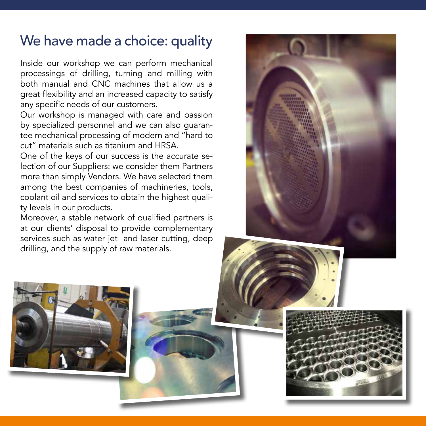# We have made a choice: quality

Inside our workshop we can perform mechanical processings of drilling, turning and milling with both manual and CNC machines that allow us a great flexibility and an increased capacity to satisfy any specific needs of our customers.

Our workshop is managed with care and passion by specialized personnel and we can also guarantee mechanical processing of modern and "hard to cut" materials such as titanium and HRSA.

One of the keys of our success is the accurate selection of our Suppliers: we consider them Partners more than simply Vendors. We have selected them among the best companies of machineries, tools, coolant oil and services to obtain the highest quality levels in our products.

Moreover, a stable network of qualified partners is at our clients' disposal to provide complementary services such as water jet and laser cutting, deep drilling, and the supply of raw materials.



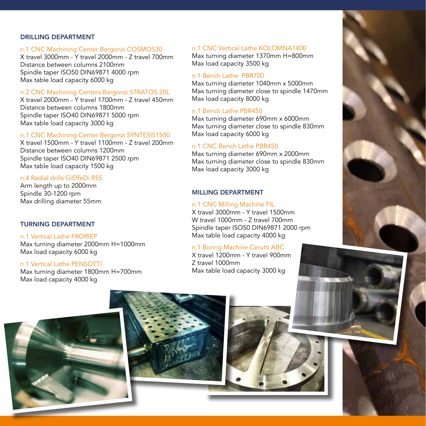## DRILLING DEPARTMENT

## n.1 CNC Machining Center Bergonzi COSMOS30

X travel 3000mm - Y travel 2000mm - Z travel 700mm Distance between columns 2100mm Spindle taper ISO50 DIN69871 4000 rpm Max table load capacity 6000 kg

#### n.2 CNC Machining Centers Bergonzi STRATOS 20L

X travel 2000mm - Y travel 1700mm - Z travel 450mm Distance between columns 1800mm Spindle taper ISO40 DIN69871 5000 rpm Max table load capacity 3000 kg

## n.1 CNC Machining Center Bergonzi SYNTESIS1500

X travel 1500mm - Y travel 1100mm - Z travel 200mm Distance between columns 1200mm Spindle taper ISO40 DIN69871 2500 rpm Max table load capacity 1500 kg

#### n.4 Radial drills GiEffeDi R55

Arm length up to 2000mm Spindle 30-1200 rpm Max drilling diameter 55mm

## TURNING DEPARTMENT

n.1 Vertical Lathe FRORIEP Max turning diameter 2000mm H=1000mm Max load capacity 6000 kg

#### n.1 Vertical Lathe PENSOTTI

Max turning diameter 1800mm H=700mm Max load capacity 4000 kg

## n.1 CNC Vertical Lathe KOLOMNA1400

Max turning diameter 1370mm H=800mm Max load capacity 3500 kg

## n.1 Bench Lathe PBR700

Max turning diameter 1040mm x 5000mm Max turning diameter close to spindle 1470mm Max load capacity 8000 kg

#### n.1 Bench Lathe PBR450

Max turning diameter 690mm x 6000mm Max turning diameter close to spindle 830mm Max load capacity 6000 kg

# n.1 CNC Bench Lathe PBR450

Max turning diameter 690mm x 2000mm Max turning diameter close to spindle 830mm Max load capacity 3000 kg

## MILLING DEPARTMENT

#### n.1 CNC Milling Machine FIL

X travel 3000mm - Y travel 1500mm W travel 1000mm - Z travel 700mm Spindle taper ISO50 DIN69871 2000 rpm Max table load capacity 4000 kg

## n.1 Boring Machine Cerutti ABC

X travel 1200mm - Y travel 900mm Z travel 1000mm Max table load capacity 3000 kg





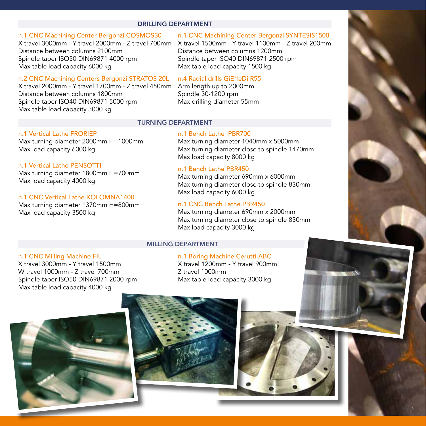## DRILLING DEPARTMENT

## n.1 CNC Machining Center Bergonzi COSMOS30

X travel 3000mm - Y travel 2000mm - Z travel 700mm X travel 1500mm - Y travel 1100mm - Z travel 200mm Distance between columns 2100mm Spindle taper ISO50 DIN69871 4000 rpm Max table load capacity 6000 kg

#### n.2 CNC Machining Centers Bergonzi STRATOS 20L

X travel 2000mm - Y travel 1700mm - Z travel 450mm Distance between columns 1800mm Spindle taper ISO40 DIN69871 5000 rpm Max table load capacity 3000 kg

# n.1 CNC Machining Center Bergonzi SYNTESIS1500

Distance between columns 1200mm Spindle taper ISO40 DIN69871 2500 rpm Max table load capacity 1500 kg

## n.4 Radial drills GiEffeDi R55

Arm length up to 2000mm Spindle 30-1200 rpm Max drilling diameter 55mm

#### TURNING DEPARTMENT

## n.1 Vertical Lathe FRORIEP

Max turning diameter 2000mm H=1000mm Max load capacity 6000 kg

#### n.1 Vertical Lathe PENSOTTI

Max turning diameter 1800mm H=700mm Max load capacity 4000 kg

## n.1 CNC Vertical Lathe KOLOMNA1400

Max turning diameter 1370mm H=800mm Max load capacity 3500 kg

## n.1 Bench Lathe PBR700

Max turning diameter 1040mm x 5000mm Max turning diameter close to spindle 1470mm Max load capacity 8000 kg

# n.1 Bench Lathe PBR450

Max turning diameter 690mm x 6000mm Max turning diameter close to spindle 830mm Max load capacity 6000 kg

## n.1 CNC Bench Lathe PBR450

Max turning diameter 690mm x 2000mm Max turning diameter close to spindle 830mm Max load capacity 3000 kg

## MILLING DEPARTMENT

## n.1 CNC Milling Machine FIL

X travel 3000mm - Y travel 1500mm W travel 1000mm - Z travel 700mm Spindle taper ISO50 DIN69871 2000 rpm Max table load capacity 4000 kg

#### n.1 Boring Machine Cerutti ABC

X travel 1200mm - Y travel 900mm Z travel 1000mm Max table load capacity 3000 kg





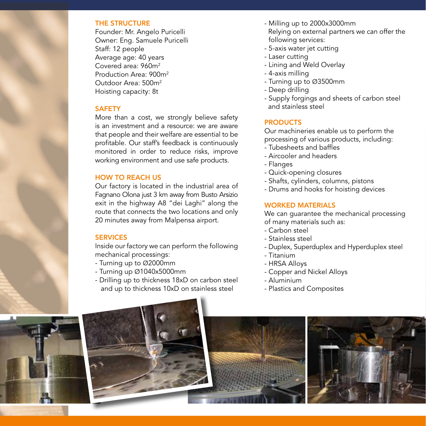#### THE STRUCTURE

Founder: Mr. Angelo Puricelli Owner: Eng. Samuele Puricelli Staff: 12 people Average age: 40 years Covered area: 960m2 Production Area: 900m2 Outdoor Area: 500m2 Hoisting capacity: 8t

## **SAFFTY**

More than a cost, we strongly believe safety is an investment and a resource: we are aware that people and their welfare are essential to be profitable. Our staff's feedback is continuously monitored in order to reduce risks, improve working environment and use safe products.

# HOW TO REACH US

Our factory is located in the industrial area of Fagnano Olona just 3 km away from Busto Arsizio exit in the highway A8 "dei Laghi" along the route that connects the two locations and only 20 minutes away from Malpensa airport.

## **SERVICES**

Inside our factory we can perform the following mechanical processings:

- Turning up to Ø2000mm
- Turning up Ø1040x5000mm
- Drilling up to thickness 18xD on carbon steel and up to thickness 10xD on stainless steel
- Milling up to 2000x3000mm Relying on external partners we can offer the following services:
- 5-axis water jet cutting
- Laser cutting
- Lining and Weld Overlay
- 4-axis milling
- Turning up to Ø3500mm
- Deep drilling
- Supply forgings and sheets of carbon steel and stainless steel

# **PRODUCTS**

Our machineries enable us to perform the processing of various products, including:

- Tubesheets and baffles
- Aircooler and headers
- Flanges
- Quick-opening closures
- Shafts, cylinders, columns, pistons
- Drums and hooks for hoisting devices

## WORKED MATERIALS

We can guarantee the mechanical processing of many materials such as:

- Carbon steel
- Stainless steel
- Duplex, Superduplex and Hyperduplex steel
- Titanium
- HRSA Alloys
- Copper and Nickel Alloys
- Aluminium
- Plastics and Composites